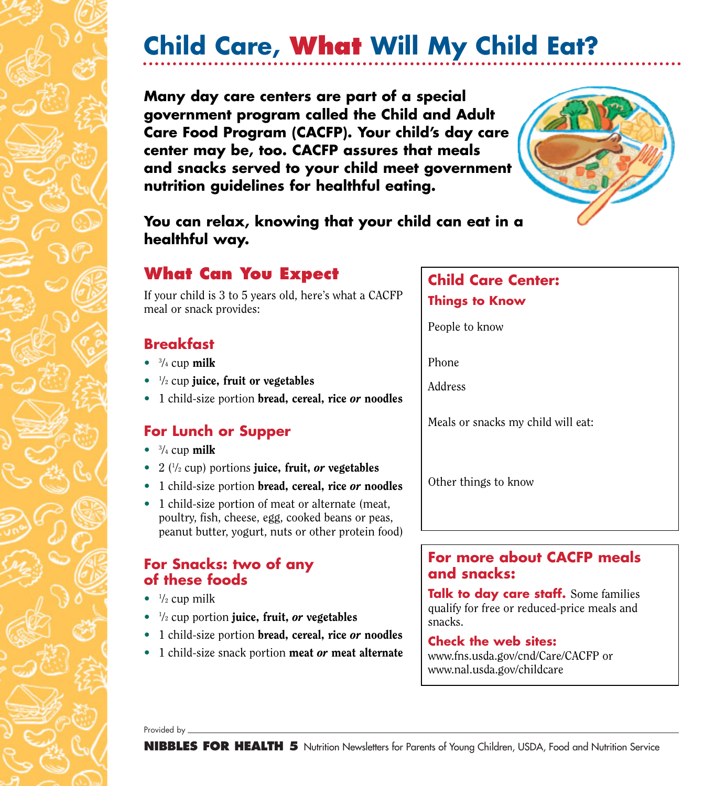# **Child Care, What Will My Child Eat?**

**Many day care centers are part of a special government program called the Child and Adult Care Food Program (CACFP). Your child's day care center may be, too. CACFP assures that meals and snacks served to your child meet government nutrition guidelines for healthful eating.**



**You can relax, knowing that your child can eat in a healthful way.**

## **What Can You Expect**

If your child is 3 to 5 years old, here's what a CACFP meal or snack provides:

## **Breakfast**

- $\bullet$   $\frac{3}{4}$  cup milk
- $\bullet$   $\frac{1}{2}$  cup juice, fruit or vegetables
- 1 child-size portion bread, cereal, rice *or* noodles

## **For Lunch or Supper**

- $\bullet$   $\frac{3}{4}$  cup milk
- 2 ( $\frac{1}{2}$  cup) portions **juice**, fruit, *or* vegetables
- 1 child-size portion bread, cereal, rice *or* noodles
- 1 child-size portion of meat or alternate (meat, poultry, fish, cheese, egg, cooked beans or peas, peanut butter, yogurt, nuts or other protein food)

### **For Snacks: two of any of these foods**

- $\bullet$   $\frac{1}{2}$  cup milk
- <sup>1</sup> /2 cup portion juice, fruit, *or* vegetables
- 1 child-size portion bread, cereal, rice *or* noodles
- 1 child-size snack portion meat *or* meat alternate

## **Child Care Center: Things to Know**

People to know

Phone

Address

Meals or snacks my child will eat:

Other things to know

### **For more about CACFP meals and snacks:**

**Talk to day care staff.** Some families qualify for free or reduced-price meals and snacks.

#### **Check the web sites:**

www.fns.usda.gov/cnd/Care/CACFP or www.nal.usda.gov/childcare